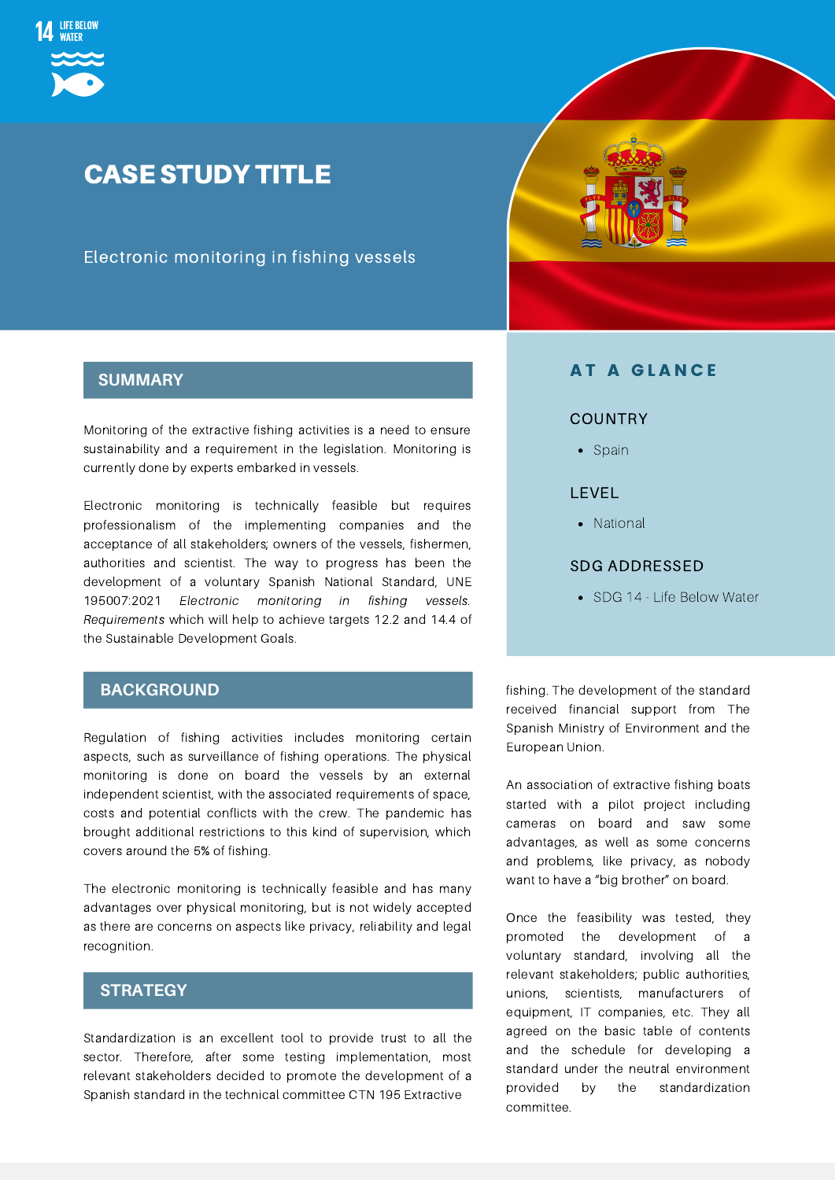

## CASE STUDY TITLE

Electronic monitoring in fishing vessels



Monitoring of the extractive fishing activities is a need to ensure sustainability and a requirement in the legislation. Monitoring is currently done by experts embarked in vessels.

Electronic monitoring is technically feasible but requires professionalism of the implementing companies and the acceptance of all stakeholders; owners of the vessels, fishermen, authorities and scientist. The way to progress has been the development of a voluntary Spanish National Standard, UNE 195007:2021 Electronic monitoring in fishing vessels. Requirements which will help to achieve targets 12.2 and 14.4 of the Sustainable Development Goals.

#### **BACKGROUND**

Regulation of fishing activities includes monitoring certain aspects, such as surveillance of fishing operations. The physical monitoring is done on board the vessels by an external independent scientist, with the associated requirements of space, costs and potential conflicts with the crew. The pandemic has brought additional restrictions to this kind of supervision, which covers around the 5% of fishing.

The electronic monitoring is technically feasible and has many advantages over physical monitoring, but is not widely accepted as there are concerns on aspects like privacy, reliability and legal recognition.

#### $STRATEGY$

Standardization is an excellent tool to provide trust to all the sector. Therefore, after some testing implementation, most relevant stakeholders decided to promote the development of a Spanish standard in the technical committee CTN 195 Extractive



#### **AT A GLANCE**

#### **COUNTRY**

• Spain

#### LEVEL

• National

#### SDG ADDRESSED

• SDG 14 - Life Below Water

fishing. The development of the standard received financial support from The Spanish Ministry of Environment and the European Union.

An association of extractive fishing boats started with a pilot project including cameras on board and saw some advantages, as well as some concerns and problems, like privacy, as nobody want to have a "big brother" on board.

Once the feasibility was tested, they promoted the development of a voluntary standard, involving all the relevant stakeholders; public authorities, unions, scientists, manufacturers of equipment, IT companies, etc. They all agreed on the basic table of contents and the schedule for developing a standard under the neutral environment provided by the standardization committee.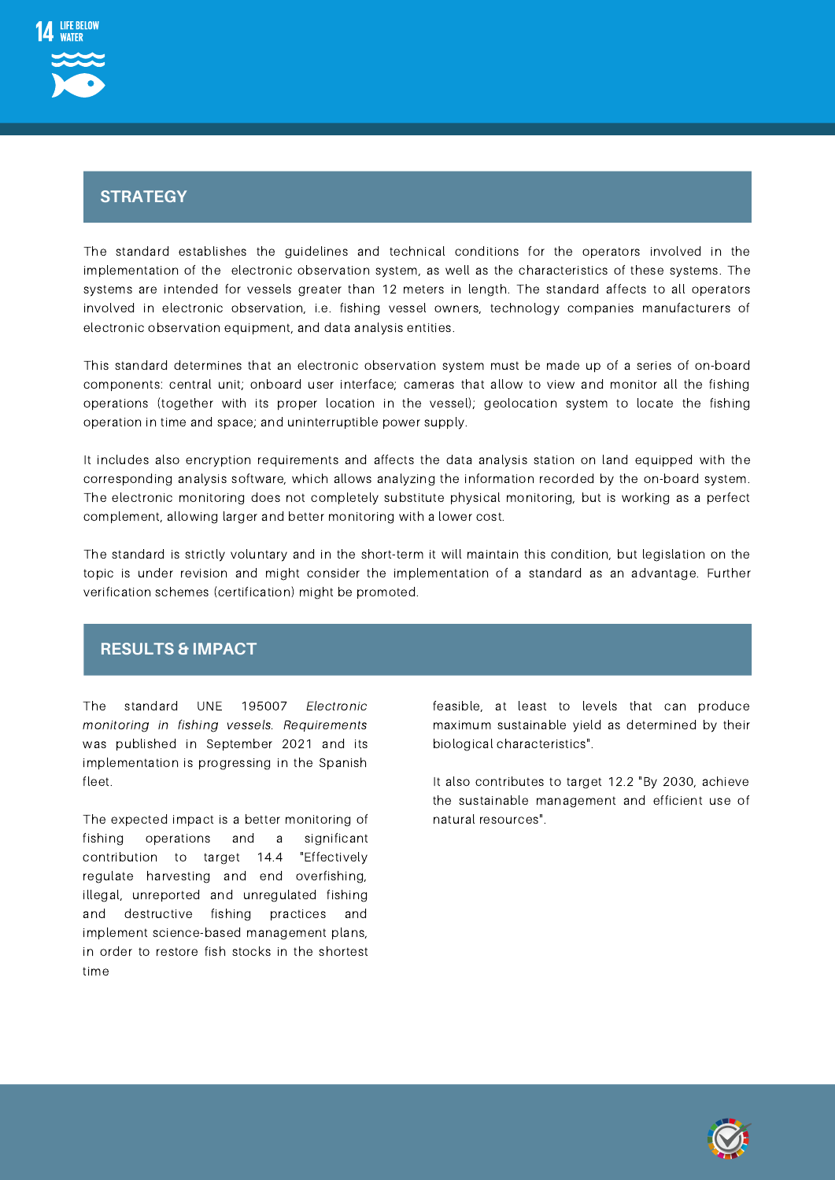

# Strategy **STRATEGY**

The standard establishes the guidelines and technical conditions for the operators involved in the implementation of the electronic observation system, as well as the characteristics of these systems. The systems are intended for vessels greater than 12 meters in length. The standard affects to all operators involved in electronic observation, i.e. fishing vessel owners, technology companies manufacturers of electronic observation equipment, and data analysis entities.

This standard determines that an electronic observation system must be made up of a series of on-board components: central unit; onboard user interface; cameras that allow to view and monitor all the fishing operations (together with its proper location in the vessel); geolocation system to locate the fishing operation in time and space; and uninterruptible power supply.

It includes also encryption requirements and affects the data analysis station on land equipped with the corresponding analysis software, which allows analyzing the information recorded by the on-board system. The electronic monitoring does not completely substitute physical monitoring, but is working as a perfect complement, allowing larger and better monitoring with a lower cost.

The standard is strictly voluntary and in the short-term it will maintain this condition, but legislation on the topic is under revision and might consider the implementation of a standard as an advantage. Further verification schemes (certification) might be promoted.

#### **RESULTS & IMPACT**

The standard UNE 195007 Electronic monitoring in fishing vessels. Requirements was published in September 2021 and its implementation is progressing in the Spanish fleet.

The expected impact is a better monitoring of fishing operations and a significant contribution to target 14.4 "Effectively regulate harvesting and end overfishing, illegal, unreported and unregulated fishing and destructive fishing practices and implement science-based management plans, in order to restore fish stocks in the shortest time

feasible, at least to levels that can produce maximum sustainable yield as determined by their biological characteristics".

It also contributes to target 12.2 "By 2030, achieve the sustainable management and efficient use of natural resources".